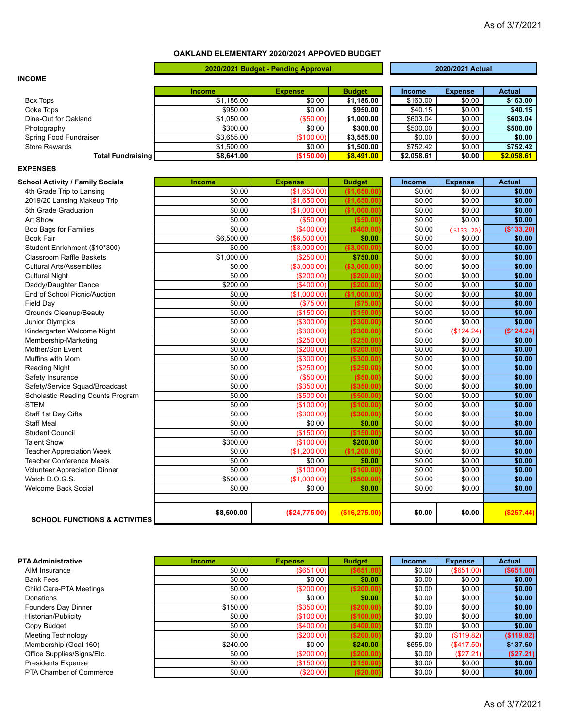## **OAKLAND ELEMENTARY 2020/2021 APPOVED BUDGET**

|                                          |               | 2020/2021 Budget - Pending Approval |                |            | 2020/2021 Actual |               |
|------------------------------------------|---------------|-------------------------------------|----------------|------------|------------------|---------------|
| <b>INCOME</b>                            |               |                                     |                |            |                  |               |
|                                          | Income        | <b>Expense</b>                      | <b>Budget</b>  | Income     | <b>Expense</b>   | <b>Actual</b> |
| Box Tops                                 | \$1,186.00    | \$0.00                              | \$1,186.00     | \$163.00   | \$0.00           | \$163.00      |
| Coke Tops                                | \$950.00      | \$0.00                              | \$950.00       | \$40.15    | \$0.00           | \$40.15       |
| Dine-Out for Oakland                     | \$1,050.00    | (\$50.00)                           | \$1,000.00     | \$603.04   | \$0.00           | \$603.04      |
| Photography                              | \$300.00      | \$0.00                              | \$300.00       | \$500.00   | \$0.00           | \$500.00      |
| Spring Food Fundraiser                   | \$3,655.00    | (\$100.00)                          | \$3,555.00     | \$0.00     | \$0.00           | \$0.00        |
| <b>Store Rewards</b>                     | \$1,500.00    | \$0.00                              | \$1,500.00     | \$752.42   | \$0.00           | \$752.42      |
| <b>Total Fundraising</b>                 | \$8,641.00    | (\$150.00)                          | \$8,491.00     | \$2,058.61 | \$0.00           | \$2,058.61    |
| <b>EXPENSES</b>                          |               |                                     |                |            |                  |               |
| <b>School Activity / Family Socials</b>  | <b>Income</b> | <b>Expense</b>                      | <b>Budget</b>  | Income     | <b>Expense</b>   | <b>Actual</b> |
| 4th Grade Trip to Lansing                | \$0.00        | (\$1,650.00)                        | (\$1,650.00]   | \$0.00     | \$0.00           | \$0.00        |
| 2019/20 Lansing Makeup Trip              | \$0.00        | (\$1,650.00)                        | (\$1,650.00]   | \$0.00     | \$0.00           | \$0.00        |
| 5th Grade Graduation                     | \$0.00        | (\$1,000.00)                        | (\$1,000.00]   | \$0.00     | \$0.00           | \$0.00        |
| Art Show                                 | \$0.00        | (\$50.00)                           | ( \$50.00]     | \$0.00     | \$0.00           | \$0.00        |
| Boo Bags for Families                    | \$0.00        | (\$400.00)                          | (\$400.00]     | \$0.00     | (\$133.20)       | (\$133.20)    |
| <b>Book Fair</b>                         | \$6,500.00    | (\$6,500.00)                        | \$0.00         | \$0.00     | \$0.00           | \$0.00        |
| Student Enrichment (\$10*300)            | \$0.00        | (\$3,000.00)                        | ( \$3,000.00]  | \$0.00     | \$0.00           | \$0.00        |
| <b>Classroom Raffle Baskets</b>          | \$1,000.00    | (\$250.00)                          | \$750.00       | \$0.00     | \$0.00           | \$0.00        |
| <b>Cultural Arts/Assemblies</b>          | \$0.00        | (\$3,000.00)                        | (\$3,000.00]   | \$0.00     | \$0.00           | \$0.00        |
| <b>Cultural Night</b>                    | \$0.00        | (\$200.00)                          | ( \$200.00]    | \$0.00     | \$0.00           | \$0.00        |
| Daddy/Daughter Dance                     | \$200.00      | $($ \$400.00)                       | (\$200.00"     | \$0.00     | \$0.00           | \$0.00        |
| End of School Picnic/Auction             | \$0.00        | (\$1,000.00)                        | (\$1,000.00)   | \$0.00     | \$0.00           | \$0.00        |
| <b>Field Dav</b>                         | \$0.00        | (\$75.00)                           | (\$75.00       | \$0.00     | \$0.00           | \$0.00        |
| <b>Grounds Cleanup/Beauty</b>            | \$0.00        | (\$150.00)                          | (\$150.00)     | \$0.00     | \$0.00           | \$0.00        |
| Junior Olympics                          | \$0.00        | (\$300.00)                          | (\$300.00"     | \$0.00     | \$0.00           | \$0.00        |
| Kindergarten Welcome Night               | \$0.00        | (\$300.00)                          | (\$300.00)     | \$0.00     | (\$124.24)       | (\$124.24)    |
| Membership-Marketing                     | \$0.00        | (\$250.00)                          | (\$250.00"     | \$0.00     | \$0.00           | \$0.00        |
| Mother/Son Event                         | \$0.00        | (\$200.00)                          | (\$200.00)     | \$0.00     | \$0.00           | \$0.00        |
| Muffins with Mom                         | \$0.00        | (\$300.00)                          | (\$300.00"     | \$0.00     | \$0.00           | \$0.00        |
| <b>Reading Night</b>                     | \$0.00        | (\$250.00)                          | (S250.00)      | \$0.00     | \$0.00           | \$0.00        |
| Safety Insurance                         | \$0.00        | ( \$50.00)                          | ( \$50.00]     | \$0.00     | \$0.00           | \$0.00        |
| Safety/Service Squad/Broadcast           | \$0.00        | (\$350.00)                          | ( \$350.00]    | \$0.00     | \$0.00           | \$0.00        |
| Scholastic Reading Counts Program        | \$0.00        | (\$500.00)                          | ( \$500.00]    | \$0.00     | \$0.00           | \$0.00        |
| <b>STEM</b>                              | \$0.00        | (\$100.00)                          | (\$100.00]     | \$0.00     | \$0.00           | \$0.00        |
| Staff 1st Day Gifts                      | \$0.00        | ( \$300.00]                         | (\$300.00"     | \$0.00     | \$0.00           | \$0.00        |
| <b>Staff Meal</b>                        | \$0.00        | \$0.00                              | \$0.00         | \$0.00     | \$0.00           | \$0.00        |
| <b>Student Council</b>                   | \$0.00        | (\$150.00)                          | (\$150.00]     | \$0.00     | \$0.00           | \$0.00        |
| <b>Talent Show</b>                       | \$300.00      | (\$100.00)                          | \$200.00       | \$0.00     | \$0.00           | \$0.00        |
| <b>Teacher Appreciation Week</b>         | \$0.00        | (\$1,200.00)                        | (\$1,200.00]   | \$0.00     | \$0.00           | \$0.00        |
| <b>Teacher Conference Meals</b>          | \$0.00        | \$0.00                              | \$0.00         | \$0.00     | \$0.00           | \$0.00        |
| <b>Volunteer Appreciation Dinner</b>     | \$0.00        | (\$100.00)                          | (\$100.00]     | \$0.00     | \$0.00           | \$0.00        |
| Watch D.O.G.S.                           | \$500.00      | (\$1,000.00)                        | (\$500.00"     | \$0.00     | \$0.00           | \$0.00        |
| <b>Welcome Back Social</b>               | \$0.00        | \$0.00                              | \$0.00         | \$0.00     | \$0.00           | \$0.00        |
|                                          |               |                                     |                |            |                  |               |
| <b>SCHOOL FUNCTIONS &amp; ACTIVITIES</b> | \$8,500.00    | (\$24,775.00)                       | (\$16, 275.00) | \$0.00     | \$0.00           | (\$257.44)    |

**PTA Administrative Income Income <b>Expense Budget Income Expense Actual**<br>  $\frac{1}{20.00}$   $\frac{1}{20.00}$   $\frac{1}{20.00}$   $\frac{1}{20.00}$   $\frac{1}{20.00}$   $\frac{1}{20.00}$   $\frac{1}{20.00}$   $\frac{1}{20.00}$   $\frac{1}{20.00}$   $\frac{1}{20.00}$ AIM Insurance \$0.00) (\$651.00) **(\$651.00)** \$0.00) (\$651.00) **(\$651.00)** Bank Fees \$0.00) \$0.00) **\$0.00)** \$0.00) \$0.00) **\$0.00)** Child Care-PTA Meetings \$0.00) (\$200.00) **(\$200.00)** \$0.00) \$0.00) **\$0.00)** Donations \$0.00) \$0.00) **\$0.00)** \$0.00) \$0.00) **\$0.00)** Founders Day Dinner **\$150.00** (\$150.00) (\$200.00) (\$200.00) \$0.00 \$0.00 \$0.00 \$0.00 \$0.00 \$0.00 \$0.00 \$0.00 \$0.00 Historian/Publicity<br>
Copy Budget<br>
Meeting Technology<br>
Meeting Technology<br> **Example 19.00**<br>
So.00 (\$200.00)<br> **Example 19.00**<br> **Example 19.00**<br> **Example 19.00**<br> **Example 19.00**<br> **Example 19.00**<br> **Example 19.00**<br> **Example 19.** Copy Budget \$0.00) (\$400.00) **(\$400.00)** \$0.00) \$0.00) **\$0.00)** Meeting Technology **119.82**<br>Membership (Goal 160) **12.000 (\$200.00)** (\$200.00) (\$200.00) (\$200.00) (\$119.82) (\$119.82)<br>
\$240.00 \$240.00 \$240.00 \$240.00 \$555.00 (\$417.50) \$137.50 Membership (Goal 160) \$240.00) \$0.00) **\$240.00)** \$555.00) (\$417.50) **\$137.50)** Office Supplies/Signs/Etc. **12.000 (\$200.00)** (\$200.00) (\$200.00) (\$200.00) (\$27.21) (\$27.21) (\$27.21)<br>Presidents Expense (\$150.00) (\$150.00) (\$150.00) (\$150.00) (\$0.00 \$0.00 \$0.00  $Presidents$  Expense PTA Chamber of Commerce **\$0.00**  $\left(\frac{$20.00}{\$20.00}\right)$  **(\$20.00)**  $\left(\frac{$20.00}{\$20.00}\right)$  \$0.00 \$0.00 \$0.00

## As of 3/7/2021